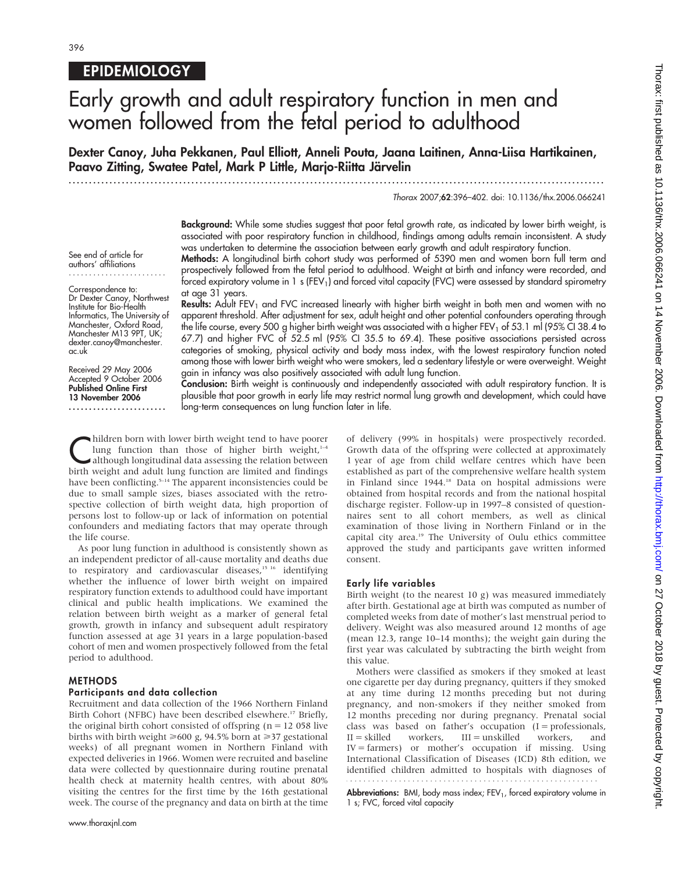## **EPIDEMIOLOGY**

See end of article for authors' affiliations ........................ Correspondence to: Dr Dexter Canoy, Northwest Institute for Bio-Health Informatics, The University of Manchester, Oxford Road, Manchester M13 9PT, UK; dexter.canoy@manchester.

Received 29 May 2006 Accepted 9 October 2006 Published Online First 13 November 2006 ........................

ac.uk

# Early growth and adult respiratory function in men and women followed from the fetal period to adulthood

Dexter Canoy, Juha Pekkanen, Paul Elliott, Anneli Pouta, Jaana Laitinen, Anna-Liisa Hartikainen, Paavo Zitting, Swatee Patel, Mark P Little, Marjo-Riitta Järvelin

...................................................................................................................................

#### Thorax 2007;62:396–402. doi: 10.1136/thx.2006.066241

Background: While some studies suggest that poor fetal growth rate, as indicated by lower birth weight, is associated with poor respiratory function in childhood, findings among adults remain inconsistent. A study was undertaken to determine the association between early growth and adult respiratory function.

Methods: A longitudinal birth cohort study was performed of 5390 men and women born full term and prospectively followed from the fetal period to adulthood. Weight at birth and infancy were recorded, and forced expiratory volume in 1 s (FEV<sub>1</sub>) and forced vital capacity (FVC) were assessed by standard spirometry at age 31 years.

Results: Adult FEV<sub>1</sub> and FVC increased linearly with higher birth weight in both men and women with no apparent threshold. After adjustment for sex, adult height and other potential confounders operating through the life course, every 500 g higher birth weight was associated with a higher FEV<sub>1</sub> of 53.1 ml (95% CI 38.4 to 67.7) and higher FVC of 52.5 ml (95% CI 35.5 to 69.4). These positive associations persisted across categories of smoking, physical activity and body mass index, with the lowest respiratory function noted among those with lower birth weight who were smokers, led a sedentary lifestyle or were overweight. Weight gain in infancy was also positively associated with adult lung function.

Conclusion: Birth weight is continuously and independently associated with adult respiratory function. It is plausible that poor growth in early life may restrict normal lung growth and development, which could have long-term consequences on lung function later in life.

hildren born with lower birth weight tend to have poorer<br>
lung function than those of higher birth weight,<sup>14</sup><br>
although longitudinal data assessing the relation between<br>
hirth weight and adult lung function are limited an lung function than those of higher birth weight, $1-4$ birth weight and adult lung function are limited and findings have been conflicting.<sup>5-14</sup> The apparent inconsistencies could be due to small sample sizes, biases associated with the retrospective collection of birth weight data, high proportion of persons lost to follow-up or lack of information on potential confounders and mediating factors that may operate through the life course.

As poor lung function in adulthood is consistently shown as an independent predictor of all-cause mortality and deaths due to respiratory and cardiovascular diseases,<sup>15 16</sup> identifying whether the influence of lower birth weight on impaired respiratory function extends to adulthood could have important clinical and public health implications. We examined the relation between birth weight as a marker of general fetal growth, growth in infancy and subsequent adult respiratory function assessed at age 31 years in a large population-based cohort of men and women prospectively followed from the fetal period to adulthood.

#### METHODS

#### Participants and data collection

Recruitment and data collection of the 1966 Northern Finland Birth Cohort (NFBC) have been described elsewhere.<sup>17</sup> Briefly, the original birth cohort consisted of offspring ( $n = 12$  058 live births with birth weight  $\geq 600$  g, 94.5% born at  $\geq 37$  gestational weeks) of all pregnant women in Northern Finland with expected deliveries in 1966. Women were recruited and baseline data were collected by questionnaire during routine prenatal health check at maternity health centres, with about 80% visiting the centres for the first time by the 16th gestational week. The course of the pregnancy and data on birth at the time

www.thoraxjnl.com

of delivery (99% in hospitals) were prospectively recorded. Growth data of the offspring were collected at approximately 1 year of age from child welfare centres which have been established as part of the comprehensive welfare health system in Finland since 1944.<sup>18</sup> Data on hospital admissions were obtained from hospital records and from the national hospital discharge register. Follow-up in 1997–8 consisted of questionnaires sent to all cohort members, as well as clinical examination of those living in Northern Finland or in the capital city area.<sup>19</sup> The University of Oulu ethics committee approved the study and participants gave written informed consent.

#### Early life variables

Birth weight (to the nearest 10 g) was measured immediately after birth. Gestational age at birth was computed as number of completed weeks from date of mother's last menstrual period to delivery. Weight was also measured around 12 months of age (mean 12.3, range 10–14 months); the weight gain during the first year was calculated by subtracting the birth weight from this value.

Mothers were classified as smokers if they smoked at least one cigarette per day during pregnancy, quitters if they smoked at any time during 12 months preceding but not during pregnancy, and non-smokers if they neither smoked from 12 months preceding nor during pregnancy. Prenatal social class was based on father's occupation  $(I =$  professionals,  $II =$ skilled workers,  $III =$ unskilled workers, and  $IV = farmers$ ) or mother's occupation if missing. Using International Classification of Diseases (ICD) 8th edition, we identified children admitted to hospitals with diagnoses of

Abbreviations: BMI, body mass index; FEV<sub>1</sub>, forced expiratory volume in 1 s; FVC, forced vital capacity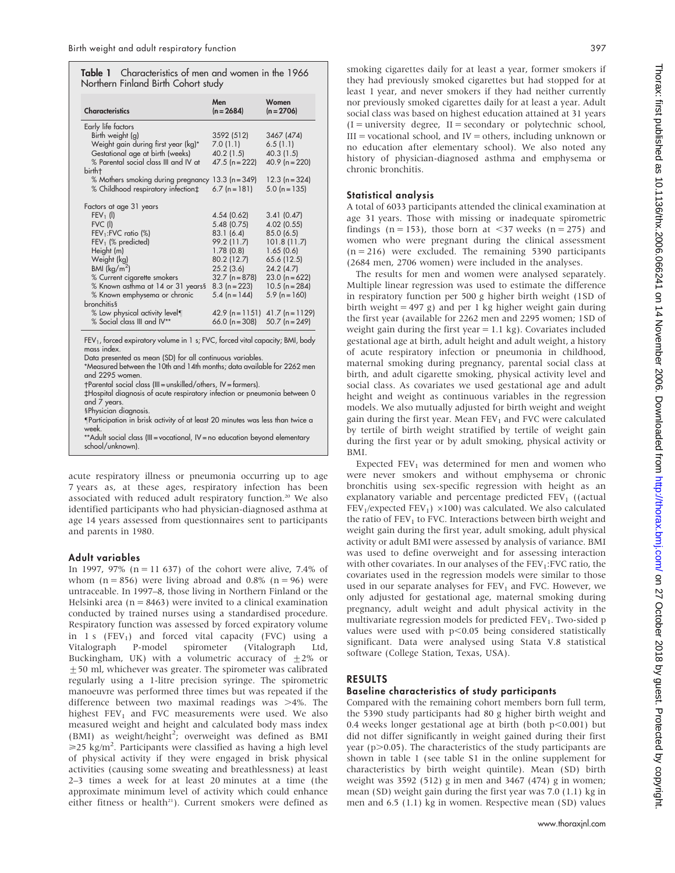| Table 1 Characteristics of men and women in the 1966 |  |  |
|------------------------------------------------------|--|--|
| Northern Finland Birth Cohort study                  |  |  |

| <b>Characteristics</b>                                                                    | Men<br>$(n = 2684)$ | Women<br>$(n = 2706)$ |  |  |
|-------------------------------------------------------------------------------------------|---------------------|-----------------------|--|--|
| Early life factors                                                                        |                     |                       |  |  |
| Birth weight (g)                                                                          | 3592 (512)          | 3467 (474)            |  |  |
| Weight gain during first year (kg)*                                                       | 7.0(1.1)            | 6.5(1.1)              |  |  |
| Gestational age at birth (weeks)                                                          | 40.2 (1.5)          | 40.3 (1.5)            |  |  |
| % Parental social class III and IV at                                                     | $47.5$ (n = 222)    | $40.9$ (n = 220)      |  |  |
| birth†                                                                                    |                     |                       |  |  |
| % Mothers smoking during pregnancy                                                        | $13.3(n=349)$       | $12.3(n=324)$         |  |  |
| % Childhood respiratory infection‡                                                        | $6.7$ (n = 181)     | $5.0$ (n = 135)       |  |  |
| Factors at age 31 years                                                                   |                     |                       |  |  |
| $FEV_1$ (I)                                                                               | 4.54 (0.62)         | 3.41(0.47)            |  |  |
| FVC (l)                                                                                   | 5.48(0.75)          | 4.02 (0.55)           |  |  |
| FEV <sub>1</sub> :FVC ratio (%)                                                           | 83.1(6.4)           | 85.0 (6.5)            |  |  |
| $FEV1$ (% predicted)                                                                      | 99.2 (11.7)         | 101.8(11.7)           |  |  |
| Height (m)                                                                                | 1.78(0.8)           | 1.65(0.6)             |  |  |
| Weight (kg)                                                                               | 80.2 (12.7)         | 65.6 (12.5)           |  |  |
| BMI $(kq/m^2)$                                                                            | 25.2(3.6)           | 24.2(4.7)             |  |  |
| % Current cigarette smokers                                                               | $32.7$ (n = 878)    | $23.0(n=622)$         |  |  |
| % Known asthma at 14 or 31 years§                                                         | $8.3(n=223)$        | $10.5(n = 284)$       |  |  |
| % Known emphysema or chronic                                                              | $5.4$ (n = 144)     | $5.9$ (n = 160)       |  |  |
| <b>bronchitis</b> §                                                                       |                     |                       |  |  |
| % Low physical activity level¶                                                            | $42.9$ (n = 1151)   | $41.7$ (n = 1129)     |  |  |
| % Social class III and IV**                                                               | 66.0 ( $n = 308$ )  | 50.7 ( $n = 249$ )    |  |  |
| FEV <sub>1</sub> , forced expiratory volume in 1 s; FVC, forced vital capacity; BMI, body |                     |                       |  |  |

FEV $_{\rm 1}$ , forced expiratory volume in 1 s; FVC, forced vital capacity; BMI, body mass index.

Data presented as mean (SD) for all continuous variables.

\*Measured between the 10th and 14th months; data available for 2262 men and 2295 women.

-Parental social class (III = unskilled/others, IV = farmers).

`Hospital diagnosis of acute respiratory infection or pneumonia between 0 and 7 years.

s Physician diagnosis.

Participation in brisk activity of at least 20 minutes was less than twice a week.

\*\*Adult social class (III = vocational, IV = no education beyond elementary school/unknown).

acute respiratory illness or pneumonia occurring up to age 7 years as, at these ages, respiratory infection has been associated with reduced adult respiratory function.<sup>20</sup> We also identified participants who had physician-diagnosed asthma at age 14 years assessed from questionnaires sent to participants and parents in 1980.

### Adult variables

In 1997, 97% ( $n = 11637$ ) of the cohort were alive, 7.4% of whom  $(n = 856)$  were living abroad and 0.8%  $(n = 96)$  were untraceable. In 1997–8, those living in Northern Finland or the Helsinki area ( $n = 8463$ ) were invited to a clinical examination conducted by trained nurses using a standardised procedure. Respiratory function was assessed by forced expiratory volume in 1 s (FEV<sub>1</sub>) and forced vital capacity (FVC) using a Vitalograph P-model spirometer (Vitalograph Ltd, Vitalograph P-model spirometer (Vitalograph Ltd, Buckingham, UK) with a volumetric accuracy of  $\pm 2\%$  or  $+50$  ml, whichever was greater. The spirometer was calibrated regularly using a 1-litre precision syringe. The spirometric manoeuvre was performed three times but was repeated if the difference between two maximal readings was  $>4\%$ . The highest  $FEV<sub>1</sub>$  and FVC measurements were used. We also measured weight and height and calculated body mass index (BMI) as weight/height<sup>2</sup>; overweight was defined as BMI  $\geq$ 25 kg/m<sup>2</sup>. Participants were classified as having a high level of physical activity if they were engaged in brisk physical activities (causing some sweating and breathlessness) at least 2–3 times a week for at least 20 minutes at a time (the approximate minimum level of activity which could enhance either fitness or health<sup>21</sup>). Current smokers were defined as

smoking cigarettes daily for at least a year, former smokers if they had previously smoked cigarettes but had stopped for at least 1 year, and never smokers if they had neither currently nor previously smoked cigarettes daily for at least a year. Adult social class was based on highest education attained at 31 years  $(I =$  university degree,  $II =$  secondary or polytechnic school,  $III =$  vocational school, and  $IV =$  others, including unknown or no education after elementary school). We also noted any history of physician-diagnosed asthma and emphysema or chronic bronchitis.

### Statistical analysis

A total of 6033 participants attended the clinical examination at age 31 years. Those with missing or inadequate spirometric findings (n = 153), those born at  $\langle 37 \rangle$  weeks (n = 275) and women who were pregnant during the clinical assessment  $(n = 216)$  were excluded. The remaining 5390 participants (2684 men, 2706 women) were included in the analyses.

The results for men and women were analysed separately. Multiple linear regression was used to estimate the difference in respiratory function per 500 g higher birth weight (1SD of birth weight = 497 g) and per 1 kg higher weight gain during the first year (available for 2262 men and 2295 women; 1SD of weight gain during the first year  $= 1.1$  kg). Covariates included gestational age at birth, adult height and adult weight, a history of acute respiratory infection or pneumonia in childhood, maternal smoking during pregnancy, parental social class at birth, and adult cigarette smoking, physical activity level and social class. As covariates we used gestational age and adult height and weight as continuous variables in the regression models. We also mutually adjusted for birth weight and weight gain during the first year. Mean  $FEV<sub>1</sub>$  and FVC were calculated by tertile of birth weight stratified by tertile of weight gain during the first year or by adult smoking, physical activity or BMI.

Expected  $FEV<sub>1</sub>$  was determined for men and women who were never smokers and without emphysema or chronic bronchitis using sex-specific regression with height as an explanatory variable and percentage predicted  $FEV<sub>1</sub>$  ((actual FEV<sub>1</sub>/expected FEV<sub>1</sub>)  $\times$ 100) was calculated. We also calculated the ratio of  $FEV<sub>1</sub>$  to FVC. Interactions between birth weight and weight gain during the first year, adult smoking, adult physical activity or adult BMI were assessed by analysis of variance. BMI was used to define overweight and for assessing interaction with other covariates. In our analyses of the  $FEV<sub>1</sub>:FVC$  ratio, the covariates used in the regression models were similar to those used in our separate analyses for  $FEV<sub>1</sub>$  and FVC. However, we only adjusted for gestational age, maternal smoking during pregnancy, adult weight and adult physical activity in the multivariate regression models for predicted  $FEV<sub>1</sub>$ . Two-sided p values were used with  $p<0.05$  being considered statistically significant. Data were analysed using Stata V.8 statistical software (College Station, Texas, USA).

## RESULTS

### Baseline characteristics of study participants

Compared with the remaining cohort members born full term, the 5390 study participants had 80 g higher birth weight and 0.4 weeks longer gestational age at birth (both  $p<0.001$ ) but did not differ significantly in weight gained during their first year ( $p$  $>$ 0.05). The characteristics of the study participants are shown in table 1 (see table S1 in the online supplement for characteristics by birth weight quintile). Mean (SD) birth weight was 3592 (512) g in men and 3467 (474) g in women; mean (SD) weight gain during the first year was 7.0 (1.1) kg in men and 6.5 (1.1) kg in women. Respective mean (SD) values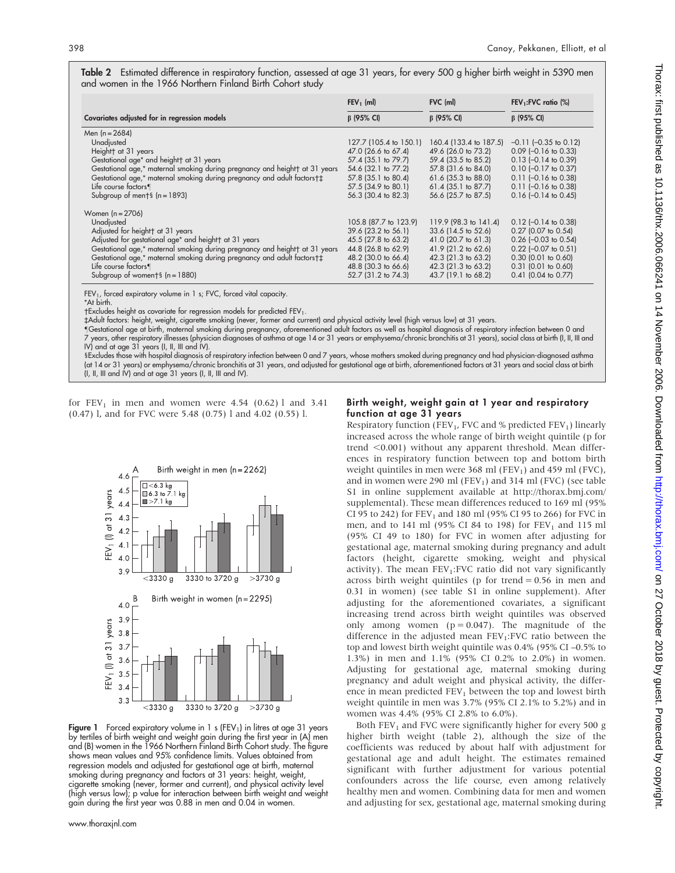Table 2 Estimated difference in respiratory function, assessed at age 31 years, for every 500 g higher birth weight in 5390 men and women in the 1966 Northern Finland Birth Cohort study

|                                                                             | $FEV_1$ (ml)           | FVC (ml)               | FEV <sub>1</sub> :FVC ratio (%) |  |
|-----------------------------------------------------------------------------|------------------------|------------------------|---------------------------------|--|
| Covariates adjusted for in regression models                                | $\beta$ (95% CI)       | $\beta$ (95% CI)       | $\beta$ (95% CI)                |  |
| Men (n = 2684)                                                              |                        |                        |                                 |  |
| Unadjusted                                                                  | 127.7 (105.4 to 150.1) | 160.4 (133.4 to 187.5) | $-0.11$ ( $-0.35$ to 0.12)      |  |
| Heightt at 31 years                                                         | 47.0 (26.6 to 67.4)    | 49.6 (26.0 to 73.2)    | $0.09$ (-0.16 to 0.33)          |  |
| Gestational age* and height at 31 years                                     | 57.4 (35.1 to 79.7)    | 59.4 (33.5 to 85.2)    | $0.13$ (-0.14 to 0.39)          |  |
| Gestational age,* maternal smoking during pregnancy and height† at 31 years | 54.6 (32.1 to 77.2)    | 57.8 (31.6 to 84.0)    | $0.10$ (-0.17 to 0.37)          |  |
| Gestational age,* maternal smoking during pregnancy and adult factors†‡     | 57.8 (35.1 to 80.4)    | $61.6$ (35.3 to 88.0)  | $0.11$ (-0.16 to 0.38)          |  |
| Life course factors¶                                                        | 57.5 (34.9 to 80.1)    | $61.4$ (35.1 to 87.7)  | $0.11$ (-0.16 to 0.38)          |  |
| Subgroup of ment <sup>§</sup> ( $n = 1893$ )                                | 56.3 (30.4 to 82.3)    | 56.6 (25.7 to 87.5)    | $0.16$ (-0.14 to 0.45)          |  |
| Women $(n = 2706)$                                                          |                        |                        |                                 |  |
| Unadjusted                                                                  | 105.8 (87.7 to 123.9)  | 119.9 (98.3 to 141.4)  | $0.12$ (-0.14 to 0.38)          |  |
| Adjusted for height at 31 years                                             | 39.6 (23.2 to 56.1)    | 33.6 (14.5 to 52.6)    | $0.27$ (0.07 to 0.54)           |  |
| Adjusted for gestational age* and height t at 31 years                      | 45.5 (27.8 to 63.2)    | $41.0$ (20.7 to 61.3)  | $0.26$ (-0.03 to 0.54)          |  |
| Gestational age,* maternal smoking during pregnancy and height† at 31 years | 44.8 (26.8 to 62.9)    | $41.9$ (21.2 to 62.6)  | $0.22$ (-0.07 to 0.51)          |  |
| Gestational age,* maternal smoking during pregnancy and adult factors†‡     | 48.2 (30.0 to 66.4)    | 42.3 (21.3 to 63.2)    | $0.30$ (0.01 to 0.60)           |  |
| Life course factors¶                                                        | 48.8 (30.3 to 66.6)    | 42.3 (21.3 to 63.2)    | $0.31$ (0.01 to 0.60)           |  |
| Subgroup of woments $(n = 1880)$                                            | 52.7 (31.2 to 74.3)    | 43.7 (19.1 to 68.2)    | $0.41$ (0.04 to 0.77)           |  |

 $FEV<sub>1</sub>$ , forced expiratory volume in 1 s; FVC, forced vital capacity.

\*At birth.

†Excludes height as covariate for regression models for predicted FEV $_{\rm 1}$ .

`Adult factors: height, weight, cigarette smoking (never, former and current) and physical activity level (high versus low) at 31 years.

Gestational age at birth, maternal smoking during pregnancy, aforementioned adult factors as well as hospital diagnosis of respiratory infection between 0 and 7 years, other respiratory illnesses (physician diagnoses of asthma at age 14 or 31 years or emphysema/chronic bronchitis at 31 years), social class at birth (I, II, III and IV) and at age 31 years (I, II, III and IV).

1Excludes those with hospital diagnosis of respiratory infection between 0 and 7 years, whose mothers smoked during pregnancy and had physician-diagnosed asthma (at 14 or 31 years) or emphysema/chronic bronchitis at 31 years, and adjusted for gestational age at birth, aforementioned factors at 31 years and social class at birth (I, II, III and IV) and at age 31 years (I, II, III and IV).

for  $FEV_1$  in men and women were 4.54 (0.62) l and 3.41 (0.47) l, and for FVC were 5.48 (0.75) l and 4.02 (0.55) l.



**Figure 1** Forced expiratory volume in 1 s (FEV<sub>1</sub>) in litres at age 31 years<br>by tertiles of birth weight and weight gain during the first year in (A) men and (B) women in the 1966 Northern Finland Birth Cohort study. The figure shows mean values and 95% confidence limits. Values obtained from regression models and adjusted for gestational age at birth, maternal smoking during pregnancy and factors at 31 years: height, weight, cigarette smoking (never, former and current), and physical activity level (high versus low); p value for interaction between birth weight and weight gain during the first year was 0.88 in men and 0.04 in women.

#### Birth weight, weight gain at 1 year and respiratory function at age 31 years

Respiratory function (FEV<sub>1</sub>, FVC and % predicted FEV<sub>1</sub>) linearly increased across the whole range of birth weight quintile (p for trend  $<$ 0.001) without any apparent threshold. Mean differences in respiratory function between top and bottom birth weight quintiles in men were 368 ml (FEV<sub>1</sub>) and 459 ml (FVC), and in women were 290 ml (FEV<sub>1</sub>) and 314 ml (FVC) (see table S1 in online supplement available at http://thorax.bmj.com/ supplemental). These mean differences reduced to 169 ml (95% CI 95 to 242) for  $FEV<sub>1</sub>$  and 180 ml (95% CI 95 to 266) for FVC in men, and to 141 ml (95% CI 84 to 198) for  $FEV<sub>1</sub>$  and 115 ml (95% CI 49 to 180) for FVC in women after adjusting for gestational age, maternal smoking during pregnancy and adult factors (height, cigarette smoking, weight and physical activity). The mean  $FEV_1: FVC$  ratio did not vary significantly across birth weight quintiles ( $p$  for trend = 0.56 in men and 0.31 in women) (see table S1 in online supplement). After adjusting for the aforementioned covariates, a significant increasing trend across birth weight quintiles was observed only among women  $(p = 0.047)$ . The magnitude of the difference in the adjusted mean  $FEV<sub>1</sub>:FVC$  ratio between the top and lowest birth weight quintile was 0.4% (95% CI –0.5% to 1.3%) in men and 1.1% (95% CI 0.2% to 2.0%) in women. Adjusting for gestational age, maternal smoking during pregnancy and adult weight and physical activity, the difference in mean predicted  $FEV<sub>1</sub>$  between the top and lowest birth weight quintile in men was 3.7% (95% CI 2.1% to 5.2%) and in women was 4.4% (95% CI 2.8% to 6.0%).

Both  $FEV<sub>1</sub>$  and FVC were significantly higher for every 500 g higher birth weight (table 2), although the size of the coefficients was reduced by about half with adjustment for gestational age and adult height. The estimates remained significant with further adjustment for various potential confounders across the life course, even among relatively healthy men and women. Combining data for men and women and adjusting for sex, gestational age, maternal smoking during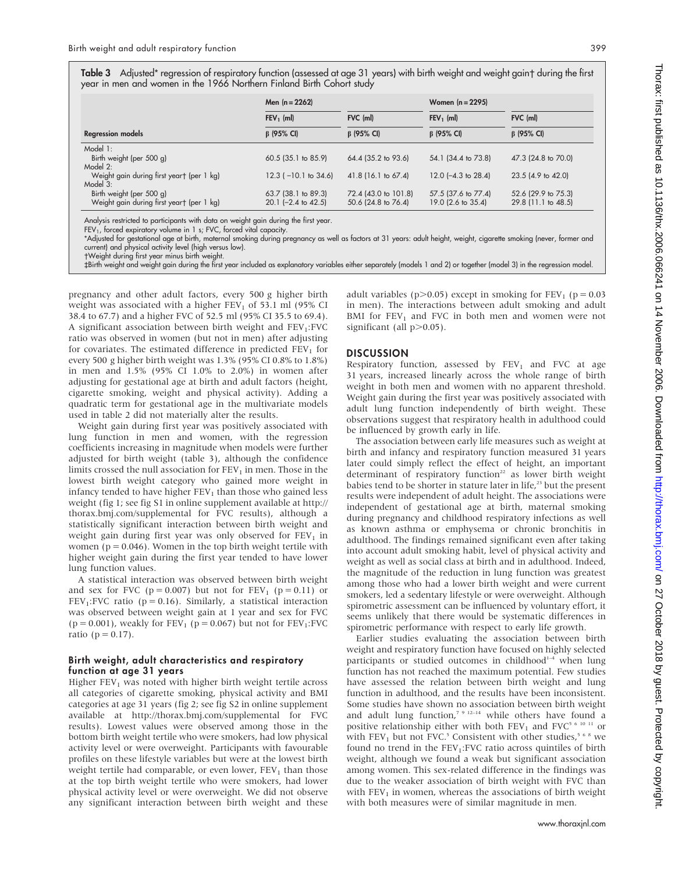**Table 3** Adjusted\* regression of respiratory function (assessed at age 31 years) with birth weight and weight gain† during the first year in men and women in the 1966 Northern Finland Birth Cohort study

|                                           | Men $(n = 2262)$               |                       | Women $(n = 2295)$             |                     |
|-------------------------------------------|--------------------------------|-----------------------|--------------------------------|---------------------|
|                                           | $FEV1$ (ml)                    | FVC (ml)              | $FEV_1$ (ml)                   | FVC (ml)            |
| <b>Regression models</b>                  | $\beta$ (95% CI)               | $\beta$ (95% CI)      | $\beta$ (95% CI)               | $\beta$ (95% CI)    |
| Model 1:                                  |                                |                       |                                |                     |
| Birth weight (per 500 g)                  | $60.5$ (35.1 to 85.9)          | 64.4 (35.2 to 93.6)   | 54.1 (34.4 to 73.8)            | 47.3 (24.8 to 70.0) |
| Model 2:                                  |                                |                       |                                |                     |
| Weight gain during first yeart (per 1 kg) | $12.3$ ( $-10.1$ to $34.6$ )   | $41.8$ (16.1 to 67.4) | 12.0 $(-4.3 \text{ to } 28.4)$ | 23.5 (4.9 to 42.0)  |
| Model 3:                                  |                                |                       |                                |                     |
| Birth weight (per 500 g)                  | 63.7 (38.1 to 89.3)            | 72.4 (43.0 to 101.8)  | 57.5 (37.6 to 77.4)            | 52.6 (29.9 to 75.3) |
| Weight gain during first yeart (per 1 kg) | 20.1 $(-2.4 \text{ to } 42.5)$ | 50.6 (24.8 to 76.4)   | 19.0 (2.6 to 35.4)             | 29.8 (11.1 to 48.5) |

Analysis restricted to participants with data on weight gain during the first year.

FEV<sub>1</sub>, forced expiratory volume in 1 s; FVC, forced vital capacity.

\*Adjusted for gestational age at birth, maternal smoking during pregnancy as well as factors at 31 years: adult height, weight, cigarette smoking (never, former and current) and physical activity level (high versus low).

-Weight during first year minus birth weight.

`Birth weight and weight gain during the first year included as explanatory variables either separately (models 1 and 2) or together (model 3) in the regression model.

pregnancy and other adult factors, every 500 g higher birth weight was associated with a higher  $FEV<sub>1</sub>$  of 53.1 ml (95% CI 38.4 to 67.7) and a higher FVC of 52.5 ml (95% CI 35.5 to 69.4). A significant association between birth weight and  $FEV<sub>1</sub>:FVC$ ratio was observed in women (but not in men) after adjusting for covariates. The estimated difference in predicted  $FEV<sub>1</sub>$  for every 500 g higher birth weight was 1.3% (95% CI 0.8% to 1.8%) in men and 1.5% (95% CI 1.0% to 2.0%) in women after adjusting for gestational age at birth and adult factors (height, cigarette smoking, weight and physical activity). Adding a quadratic term for gestational age in the multivariate models used in table 2 did not materially alter the results.

Weight gain during first year was positively associated with lung function in men and women, with the regression coefficients increasing in magnitude when models were further adjusted for birth weight (table 3), although the confidence limits crossed the null association for  $FEV<sub>1</sub>$  in men. Those in the lowest birth weight category who gained more weight in infancy tended to have higher  $FEV<sub>1</sub>$  than those who gained less weight (fig 1; see fig S1 in online supplement available at http:// thorax.bmj.com/supplemental for FVC results), although a statistically significant interaction between birth weight and weight gain during first year was only observed for  $FEV<sub>1</sub>$  in women ( $p = 0.046$ ). Women in the top birth weight tertile with higher weight gain during the first year tended to have lower lung function values.

A statistical interaction was observed between birth weight and sex for FVC ( $p = 0.007$ ) but not for FEV<sub>1</sub> ( $p = 0.11$ ) or  $FEV<sub>1</sub>:FVC ratio (p = 0.16)$ . Similarly, a statistical interaction was observed between weight gain at 1 year and sex for FVC ( $p = 0.001$ ), weakly for  $FEV_1$  ( $p = 0.067$ ) but not for  $FEV_1$ :FVC ratio ( $p = 0.17$ ).

#### Birth weight, adult characteristics and respiratory function at age 31 years

Higher  $FEV<sub>1</sub>$  was noted with higher birth weight tertile across all categories of cigarette smoking, physical activity and BMI categories at age 31 years (fig 2; see fig S2 in online supplement available at http://thorax.bmj.com/supplemental for FVC results). Lowest values were observed among those in the bottom birth weight tertile who were smokers, had low physical activity level or were overweight. Participants with favourable profiles on these lifestyle variables but were at the lowest birth weight tertile had comparable, or even lower,  $FEV<sub>1</sub>$  than those at the top birth weight tertile who were smokers, had lower physical activity level or were overweight. We did not observe any significant interaction between birth weight and these

adult variables ( $p > 0.05$ ) except in smoking for FEV<sub>1</sub> ( $p = 0.03$ ) in men). The interactions between adult smoking and adult BMI for  $FEV_1$  and FVC in both men and women were not significant (all  $p > 0.05$ ).

#### **DISCUSSION**

Respiratory function, assessed by  $FEV<sub>1</sub>$  and FVC at age 31 years, increased linearly across the whole range of birth weight in both men and women with no apparent threshold. Weight gain during the first year was positively associated with adult lung function independently of birth weight. These observations suggest that respiratory health in adulthood could be influenced by growth early in life.

The association between early life measures such as weight at birth and infancy and respiratory function measured 31 years later could simply reflect the effect of height, an important determinant of respiratory function<sup>22</sup> as lower birth weight babies tend to be shorter in stature later in life,<sup>23</sup> but the present results were independent of adult height. The associations were independent of gestational age at birth, maternal smoking during pregnancy and childhood respiratory infections as well as known asthma or emphysema or chronic bronchitis in adulthood. The findings remained significant even after taking into account adult smoking habit, level of physical activity and weight as well as social class at birth and in adulthood. Indeed, the magnitude of the reduction in lung function was greatest among those who had a lower birth weight and were current smokers, led a sedentary lifestyle or were overweight. Although spirometric assessment can be influenced by voluntary effort, it seems unlikely that there would be systematic differences in spirometric performance with respect to early life growth.

Earlier studies evaluating the association between birth weight and respiratory function have focused on highly selected participants or studied outcomes in childhood<sup>1-4</sup> when lung function has not reached the maximum potential. Few studies have assessed the relation between birth weight and lung function in adulthood, and the results have been inconsistent. Some studies have shown no association between birth weight and adult lung function,<sup>7 9 12-14</sup> while others have found a positive relationship either with both  $\text{FEV}_1$  and  $\text{FVC}^{\text{5-6-10-11}}$  or with FEV<sub>1</sub> but not FVC.<sup>5</sup> Consistent with other studies,<sup>568</sup> we found no trend in the  $FEV<sub>1</sub>:FVC$  ratio across quintiles of birth weight, although we found a weak but significant association among women. This sex-related difference in the findings was due to the weaker association of birth weight with FVC than with  $FEV<sub>1</sub>$  in women, whereas the associations of birth weight with both measures were of similar magnitude in men.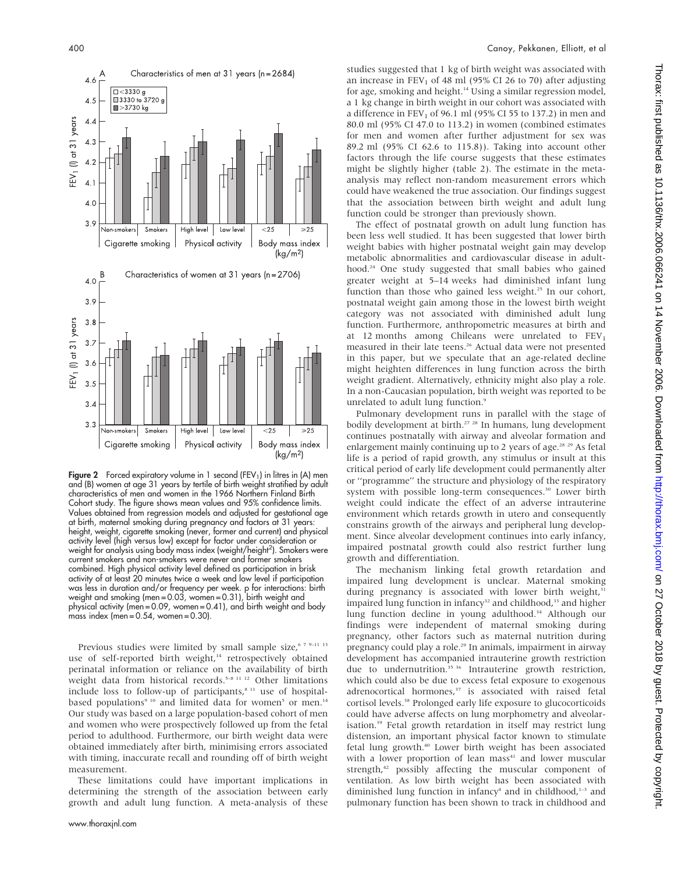

**Figure 2** Forced expiratory volume in 1 second (FEV<sub>1</sub>) in litres in (A) men and (B) women at age 31 years by tertile of birth weight stratified by adult characteristics of men and women in the 1966 Northern Finland Birth Cohort study. The figure shows mean values and 95% confidence limits. Values obtained from regression models and adjusted for gestational age at birth, maternal smoking during pregnancy and factors at 31 years: height, weight, cigarette smoking (never, former and current) and physical activity level (high versus low) except for factor under consideration or weight for analysis using body mass index (weight/height<sup>2</sup>). Smokers were current smokers and non-smokers were never and former smokers combined. High physical activity level defined as participation in brisk activity of at least 20 minutes twice a week and low level if participation was less in duration and/or frequency per week. p for interactions: birth weight and smoking (men = 0.03, women = 0.31), birth weight and physical activity (men = 0.09, women = 0.41), and birth weight and body mass index (men =  $0.54$ , women =  $0.30$ ).

Previous studies were limited by small sample size,<sup>6 7 9–11 13</sup> use of self-reported birth weight,<sup>14</sup> retrospectively obtained perinatal information or reliance on the availability of birth weight data from historical records.<sup>5–8 11 12</sup> Other limitations include loss to follow-up of participants, $s<sup>11</sup>$  use of hospitalbased populations<sup>9 10</sup> and limited data for women<sup>5</sup> or men.<sup>14</sup> Our study was based on a large population-based cohort of men and women who were prospectively followed up from the fetal period to adulthood. Furthermore, our birth weight data were obtained immediately after birth, minimising errors associated with timing, inaccurate recall and rounding off of birth weight measurement.

These limitations could have important implications in determining the strength of the association between early growth and adult lung function. A meta-analysis of these studies suggested that 1 kg of birth weight was associated with an increase in  $FEV<sub>1</sub>$  of 48 ml (95% CI 26 to 70) after adjusting for age, smoking and height.<sup>14</sup> Using a similar regression model, a 1 kg change in birth weight in our cohort was associated with a difference in  $FEV<sub>1</sub>$  of 96.1 ml (95% CI 55 to 137.2) in men and 80.0 ml (95% CI 47.0 to 113.2) in women (combined estimates for men and women after further adjustment for sex was 89.2 ml (95% CI 62.6 to 115.8)). Taking into account other factors through the life course suggests that these estimates might be slightly higher (table 2). The estimate in the metaanalysis may reflect non-random measurement errors which could have weakened the true association. Our findings suggest that the association between birth weight and adult lung function could be stronger than previously shown.

The effect of postnatal growth on adult lung function has been less well studied. It has been suggested that lower birth weight babies with higher postnatal weight gain may develop metabolic abnormalities and cardiovascular disease in adulthood.<sup>24</sup> One study suggested that small babies who gained greater weight at 5–14 weeks had diminished infant lung function than those who gained less weight.<sup>25</sup> In our cohort, postnatal weight gain among those in the lowest birth weight category was not associated with diminished adult lung function. Furthermore, anthropometric measures at birth and at 12 months among Chileans were unrelated to  $FEV<sub>1</sub>$ measured in their late teens.<sup>26</sup> Actual data were not presented in this paper, but we speculate that an age-related decline might heighten differences in lung function across the birth weight gradient. Alternatively, ethnicity might also play a role. In a non-Caucasian population, birth weight was reported to be unrelated to adult lung function.<sup>9</sup>

Pulmonary development runs in parallel with the stage of bodily development at birth.<sup>27</sup> <sup>28</sup> In humans, lung development continues postnatally with airway and alveolar formation and enlargement mainly continuing up to 2 years of age.<sup>28 29</sup> As fetal life is a period of rapid growth, any stimulus or insult at this critical period of early life development could permanently alter or ''programme'' the structure and physiology of the respiratory system with possible long-term consequences.<sup>30</sup> Lower birth weight could indicate the effect of an adverse intrauterine environment which retards growth in utero and consequently constrains growth of the airways and peripheral lung development. Since alveolar development continues into early infancy, impaired postnatal growth could also restrict further lung growth and differentiation.

The mechanism linking fetal growth retardation and impaired lung development is unclear. Maternal smoking during pregnancy is associated with lower birth weight,<sup>31</sup> impaired lung function in infancy<sup>32</sup> and childhood,<sup>33</sup> and higher lung function decline in young adulthood.<sup>34</sup> Although our findings were independent of maternal smoking during pregnancy, other factors such as maternal nutrition during pregnancy could play a role.<sup>29</sup> In animals, impairment in airway development has accompanied intrauterine growth restriction due to undernutrition.<sup>35 36</sup> Intrauterine growth restriction, which could also be due to excess fetal exposure to exogenous adrenocortical hormones,<sup>37</sup> is associated with raised fetal cortisol levels.<sup>38</sup> Prolonged early life exposure to glucocorticoids could have adverse affects on lung morphometry and alveolarisation.39 Fetal growth retardation in itself may restrict lung distension, an important physical factor known to stimulate fetal lung growth.40 Lower birth weight has been associated with a lower proportion of lean mass<sup>41</sup> and lower muscular strength,<sup>42</sup> possibly affecting the muscular component of ventilation. As low birth weight has been associated with diminished lung function in infancy<sup>4</sup> and in childhood, $1-3$  and pulmonary function has been shown to track in childhood and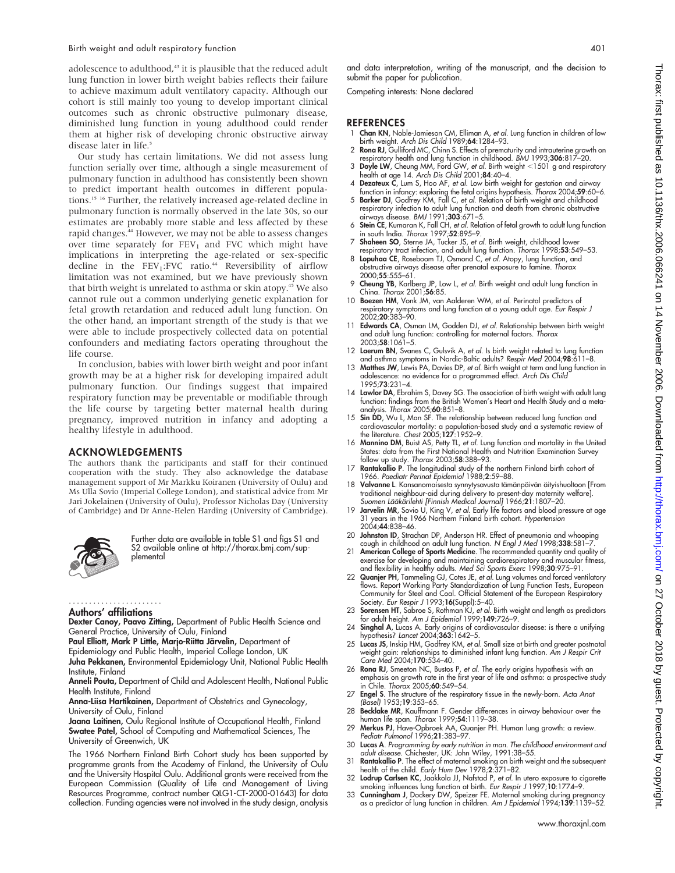adolescence to adulthood,<sup>43</sup> it is plausible that the reduced adult lung function in lower birth weight babies reflects their failure to achieve maximum adult ventilatory capacity. Although our cohort is still mainly too young to develop important clinical outcomes such as chronic obstructive pulmonary disease, diminished lung function in young adulthood could render them at higher risk of developing chronic obstructive airway disease later in life.<sup>5</sup>

Our study has certain limitations. We did not assess lung function serially over time, although a single measurement of pulmonary function in adulthood has consistently been shown to predict important health outcomes in different populations.15 16 Further, the relatively increased age-related decline in pulmonary function is normally observed in the late 30s, so our estimates are probably more stable and less affected by these rapid changes.<sup>44</sup> However, we may not be able to assess changes over time separately for  $FEV<sub>1</sub>$  and FVC which might have implications in interpreting the age-related or sex-specific decline in the  $FEV_1:FVC$  ratio.<sup>44</sup> Reversibility of airflow limitation was not examined, but we have previously shown that birth weight is unrelated to asthma or skin atopy.<sup>45</sup> We also cannot rule out a common underlying genetic explanation for fetal growth retardation and reduced adult lung function. On the other hand, an important strength of the study is that we were able to include prospectively collected data on potential confounders and mediating factors operating throughout the life course.

In conclusion, babies with lower birth weight and poor infant growth may be at a higher risk for developing impaired adult pulmonary function. Our findings suggest that impaired respiratory function may be preventable or modifiable through the life course by targeting better maternal health during pregnancy, improved nutrition in infancy and adopting a healthy lifestyle in adulthood.

#### ACKNOWLEDGEMENTS

The authors thank the participants and staff for their continued cooperation with the study. They also acknowledge the database management support of Mr Markku Koiranen (University of Oulu) and Ms Ulla Sovio (Imperial College London), and statistical advice from Mr Jari Jokelainen (University of Oulu), Professor Nicholas Day (University of Cambridge) and Dr Anne-Helen Harding (University of Cambridge).



Further data are available in table S1 and figs S1 and S2 available online at http://thorax.bmj.com/supplemental

#### Authors' affiliations .......................

Dexter Canoy, Paavo Zitting, Department of Public Health Science and General Practice, University of Oulu, Finland

Paul Elliott, Mark P Little, Marjo-Riitta Järvelin, Department of

Epidemiology and Public Health, Imperial College London, UK Juha Pekkanen, Environmental Epidemiology Unit, National Public Health Institute, Finland

Anneli Pouta, Department of Child and Adolescent Health, National Public Health Institute, Finland

Anna-Liisa Hartikainen, Department of Obstetrics and Gynecology, University of Oulu, Finland

Jaana Laitinen, Oulu Regional Institute of Occupational Health, Finland Swatee Patel, School of Computing and Mathematical Sciences, The University of Greenwich, UK

The 1966 Northern Finland Birth Cohort study has been supported by programme grants from the Academy of Finland, the University of Oulu and the University Hospital Oulu. Additional grants were received from the European Commission (Quality of Life and Management of Living Resources Programme, contract number QLG1-CT-2000-01643) for data collection. Funding agencies were not involved in the study design, analysis

and data interpretation, writing of the manuscript, and the decision to submit the paper for publication.

Competing interests: None declared

#### **REFERENCES**

- 1 Chan KN, Noble-Jamieson CM, Elliman A, et al. Lung function in children of low birth weight. Arch Dis Child 1989;64:1284–93.
- 2 Rona RJ, Gulliford MC, Chinn S. Effects of prematurity and intrauterine growth on respiratory health and lung function in childhood. *BMJ* 1993;**306**:817–20.<br>3 Doyle LW, Cheung MM, Ford GW, *et al.* Birth weight <1501 g and respiratory
- health at age 14. *Arch Dis Child* 2001;**84**:40–4.<br>4 Dezateux C, Lum S, Hoo AF, *et al.* Low birth weight for gestation and airway
- function in infancy: exploring the fetal origins hypothesis. Thorax 2004;59:60–6. 5 Barker DJ, Godfrey KM, Fall C, et al. Relation of birth weight and childhood
- respiratory infection to adult lung function and death from chronic obstructive airways disease. BMJ 1991;303:671–5.
- 6 Stein CE, Kumaran K, Fall CH, et al. Relation of fetal growth to adult lung function in south India. Thorax 1997;52:895–9.
- 7 Shaheen SO, Sterne JA, Tucker JS, et al. Birth weight, childhood lower respiratory tract infection, and adult lung function. Thorax 1998;53:549-53.
- 8 Lopuhaa CE, Roseboom TJ, Osmond C, et al. Atopy, lung function, and obstructive airways disease after prenatal exposure to famine. Thorax 2000;55:555–61.
- 9 Cheung YB, Karlberg JP, Low L, et al. Birth weight and adult lung function in China. Thorax 2001;56:85.
- 10 Boezen HM, Vonk JM, van Aalderen WM, et al. Perinatal predictors of respiratory symptoms and lung function at a young adult age. *Eur Respir J*<br>2002;**20**:383–90.
- 11 Edwards CA, Osman LM, Godden DJ, et al. Relationship between birth weight and adult lung function: controlling for maternal factors. Thorax 2003;58:1061–5.
- 12 Laerum BN, Svanes C, Gulsvik A, et al. Is birth weight related to lung function and asthma symptoms in Nordic-Baltic adults? Respir Med 2004;98:611–8.
- 13 **Matthes JW**, Lewis PA, Davies DP, et al. Birth weight at term and lung function in<br>adolescence: no evidence for a programmed effect. Arch Dis Child 1995;73:231–4.
- 14 Lawlor DA, Ebrahim S, Davey SG. The association of birth weight with adult lung function: findings from the British Women's Heart and Health Study and a metaanalysis. Thorax 2005;60:851–8.
- 15 Sin DD, Wu L, Man SF. The relationship between reduced lung function and cardiovascular mortality: a population-based study and a systematic review of the literature. Chest 2005;127:1952–9.
- 16 Mannino DM, Buist AS, Petty TL, et al. Lung function and mortality in the United States: data from the First National Health and Nutrition Examination Survey follow up study. Thorax 2003;58:388–93.
- 17 Rantakallio P. The longitudinal study of the northern Finland birth cohort of 1966. Paediatr Perinat Epidemiol 1988;2:59–88.
- 18 Valvanne L. Kansanomaisesta synnytysavusta tämänpäivän äityishuoltoon [From traditional neighbour-aid during delivery to present-day maternity welfare].
- Suomen Lääkärilehti [Finnish Medical Journal] 1966;**21**:1807–20.<br>19 **Jarvelin MR**, Sovio U, King V, et al. Early life factors and blood pressure at age<br>31 years in the 1966 Northern Finland birth cohort. Hypertension 2004;44:838–46.
- 20 **Johnston ID**, Strachan DP, Anderson HR. Effect of pneumonia and whooping cough in childhood on adult lung function. N Engl J Med 1998;338:581–7.
- 21 American College of Sports Medicine. The recommended quantity and quality of exercise for developing and maintaining cardiorespiratory and muscular fitness,<br>and flexibility in healthy adults. Med Sci Sports Exerc 1998;**30**:975–91.
- 22 Quanjer PH, Tammeling GJ, Cotes JE, et al. Lung volumes and forced ventilatory flows. Report Working Party Standardization of Lung Function Tests, European Community for Steel and Coal. Official Statement of the European Respiratory Society. Eur Respir J 1993;16(Suppl):5-40.
- 23 Sorensen HT, Sabroe S, Rothman KJ, et al. Birth weight and length as predictors for adult height. Am J Epidemiol 1999;149:726–9.
- 24 Singhal A, Lucas A. Early origins of cardiovascular disease: is there a unifying<br>hypothesis? *Lancet* 2004;363:1642–5.<br>25 Lucas JS, Inskip HM, Godfrey KM, *et al.* Small size at birth and greater postnatal
- weight gain: relationships to diminished infant lung function. Am J Respir Crit Care Med 2004;170:534–40.
- 26 Rona RJ, Smeeton NC, Bustos P, et al. The early origins hypothesis with an emphasis on growth rate in the first year of life and asthma: a prospective study in Chile. Thorax 2005;60:549–54.
- 27 Engel S. The structure of the respiratory tissue in the newly-born. Acta Anat (Basel) 1953;19:353–65.
- 28 Becklake MR, Kauffmann F. Gender differences in airway behaviour over the human life span. Thorax 1999;54:1119-38.
- 29 Merkus PJ, Have-Opbroek AA, Quanjer PH. Human lung growth: a review. Pediatr Pulmonol 1996;21:383–97.
- 30 Lucas A. Programming by early nutrition in man. The childhood environment and adult disease. Chichester, UK: John Wiley, 1991:38–55.
- 31 Rantakallio P. The effect of maternal smoking on birth weight and the subsequent health of the child. Early Hum Dev 1978;2:371–82.
- 32 Lodrup Carlsen KC, Jaakkola JJ, Nafstad P, et al. In utero exposure to cigarette smoking influences lung function at birth. Eur Respir J 1997;10:1774–9. 33 Cunningham J, Dockery DW, Speizer FE. Maternal smoking during pregnancy
- as a predictor of lung function in children. Am J Epidemiol 1994;139:1139–52.